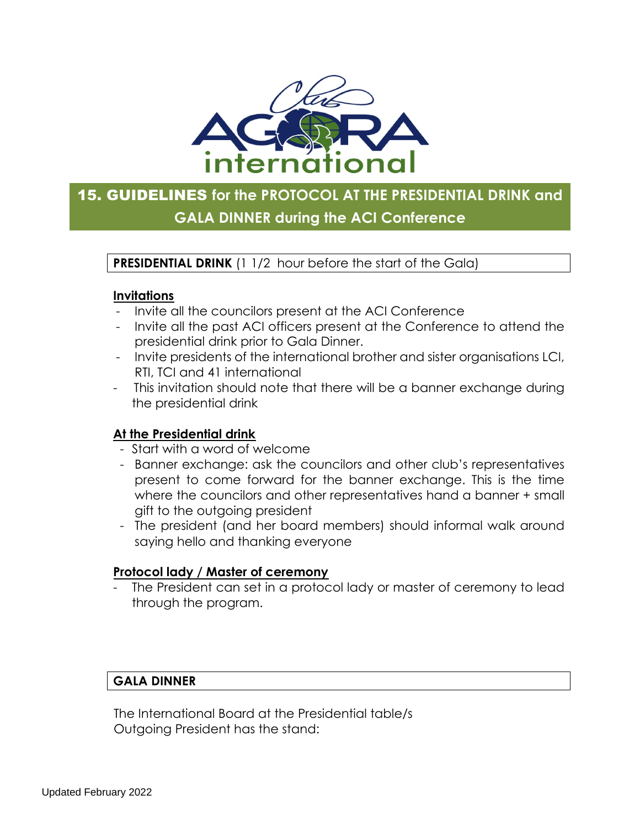

# 15. GUIDELINES **for the PROTOCOL AT THE PRESIDENTIAL DRINK and GALA DINNER during the ACI Conference**

**PRESIDENTIAL DRINK** (1 1/2 hour before the start of the Gala)

#### **Invitations**

- Invite all the councilors present at the ACI Conference
- Invite all the past ACI officers present at the Conference to attend the presidential drink prior to Gala Dinner.
- Invite presidents of the international brother and sister organisations LCI, RTI, TCI and 41 international
- This invitation should note that there will be a banner exchange during the presidential drink

# **At the Presidential drink**

- Start with a word of welcome
- Banner exchange: ask the councilors and other club's representatives present to come forward for the banner exchange. This is the time where the councilors and other representatives hand a banner + small gift to the outgoing president
- The president (and her board members) should informal walk around saying hello and thanking everyone

# **Protocol lady / Master of ceremony**

The President can set in a protocol lady or master of ceremony to lead through the program.

# **GALA DINNER**

 The International Board at the Presidential table/s Outgoing President has the stand: